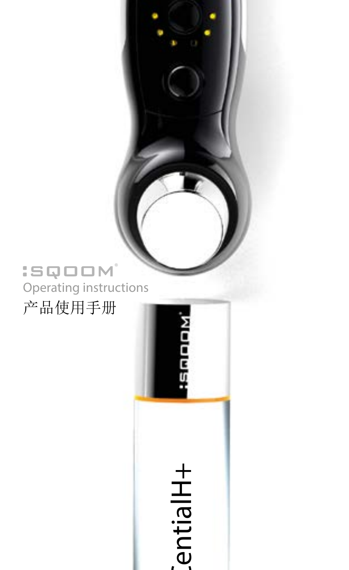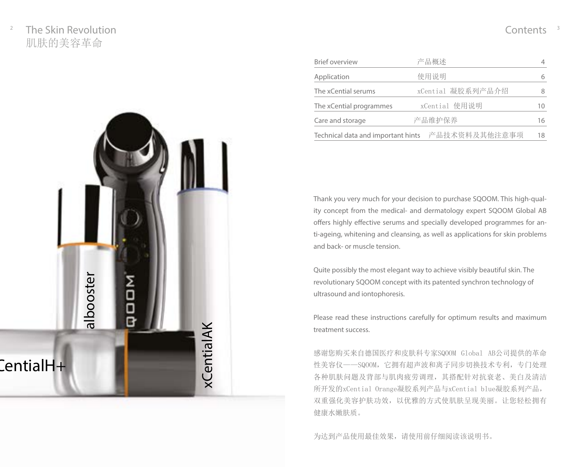# $2^2$  The Skin Revolution  $\sim$  2008  $\sim$  2008  $\sim$  2008  $\sim$  2008  $\sim$  2008  $\sim$  2008  $\sim$  2008  $\sim$  2008  $\sim$  2008  $\sim$  3008  $\sim$  2008  $\sim$  2008  $\sim$  2008  $\sim$  2008  $\sim$  2008  $\sim$  2008  $\sim$  2008  $\sim$  2008  $\sim$  2008  $\sim$  肌肤的美容革命



| <b>Brief overview</b>              | 产品概述              |    |
|------------------------------------|-------------------|----|
| Application                        | 使用说明              |    |
| The xCential serums                | xCential 凝胶系列产品介绍 |    |
| The xCential programmes            | xCential 使用说明     | 10 |
| Care and storage                   | 产品维护保养            | 16 |
| Technical data and important hints | 产品技术资料及其他注意事项     | 18 |

Thank you very much for your decision to purchase SQOOM. This high-quality concept from the medical- and dermatology expert SQOOM Global AB offers highly effective serums and specially developed programmes for anti-ageing, whitening and cleansing, as well as applications for skin problems and back- or muscle tension.

Quite possibly the most elegant way to achieve visibly beautiful skin. The revolutionary SQOOM concept with its patented synchron technology of ultrasound and iontophoresis.

Please read these instructions carefully for optimum results and maximum treatment success.

感谢您购买来自德国医疗和皮肤科专家SQOOM Global AB公司提供的革命 性美容仪——SQOOM,它拥有超声波和离子同步切换技术专利,专门处理 各种肌肤问题及背部与肌肉疲劳调理,其搭配针对抗衰老、美白及清洁 所开发的xCential Orange凝胶系列产品与xCential blue凝胶系列产品, 双重强化美容护肤功效,以优雅的方式使肌肤呈现美丽。让您轻松拥有 健康水嫩肤质。

为达到产品使用最佳效果,请使用前仔细阅读该说明书。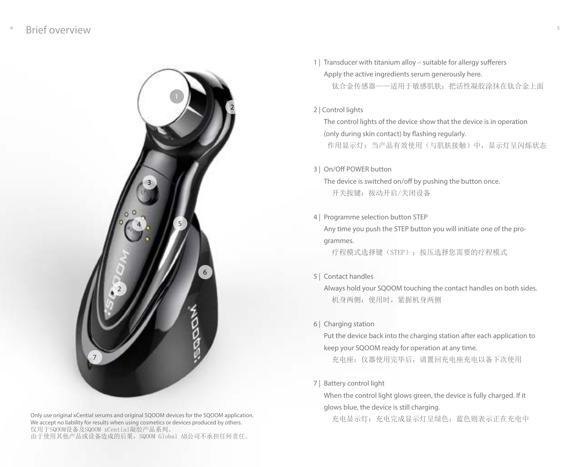

Only use original xCential serums and original SQOOM devices for the SQOOM application. We accept no liability for results when using cosmetics or devices produced by others. 仅用于SQOOM设备及SQOOM xCential凝胶产品系列。 由于使用其他产品或设备造成的后果,SQOOM Global AB公司不承担任何责任。

1 | Transducer with titanium alloy – suitable for allergy sufferers Apply the active ingredients serum generously here. 钛合金传感器——适用于敏感肌肤:把活性凝胶涂抹在钛合金上面

#### 2 | Control lights

The control lights of the device show that the device is in operation (only during skin contact) by flashing regularly. 作用显示灯:当产品有效使用(与肌肤接触)中,显示灯呈闪烁状态

#### 3 | On/Off POWER button

The device is switched on/off by pushing the button once. 开关按键:按动开启/关闭设备

#### 4 | Programme selection button STEP

Any time you push the STEP button you will initiate one of the programmes.

疗程模式选择键(STEP):按压选择您需要的疗程模式

5 | Contact handles

Always hold your SQOOM touching the contact handles on both sides. 机身两侧:使用时,紧握机身两侧

6 | Charging station

Put the device back into the charging station after each application to keep your SQOOM ready for operation at any time.

充电座:仪器使用完毕后,请置回充电座充电以备下次使用

#### 7 | Battery control light

When the control light glows green, the device is fully charged. If it glows blue, the device is still charging.

充电显示灯:充电完成显示灯呈绿色;蓝色则表示正在充电中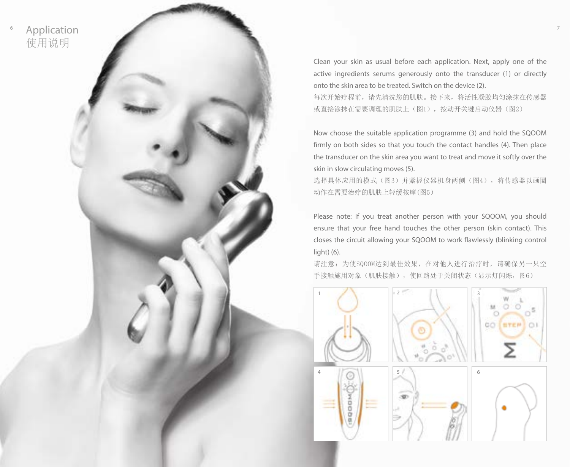

Clean your skin as usual before each application. Next, apply one of the active ingredients serums generously onto the transducer (1) or directly onto the skin area to be treated. Switch on the device (2).

每次开始疗程前,请先清洗您的肌肤。接下来,将活性凝胶均匀涂抹在传感器 或直接涂抹在需要调理的肌肤上(图1),按动开关键启动仪器(图2)

Now choose the suitable application programme (3) and hold the SQOOM firmly on both sides so that you touch the contact handles (4). Then place the transducer on the skin area you want to treat and move it softly over the skin in slow circulating moves (5).

选择具体应用的模式(图3)并紧握仪器机身两侧(图4),将传感器以画圈 动作在需要治疗的肌肤上轻缓按摩(图5)

Please note: If you treat another person with your SQOOM, you should ensure that your free hand touches the other person (skin contact). This closes the circuit allowing your SQOOM to work flawlessly (blinking control light) (6).

请注意:为使SQOOM达到最佳效果,在对他人进行治疗时,请确保另一只空 手接触施用对象(肌肤接触), 使回路处于关闭状态(显示灯闪烁, 图6)

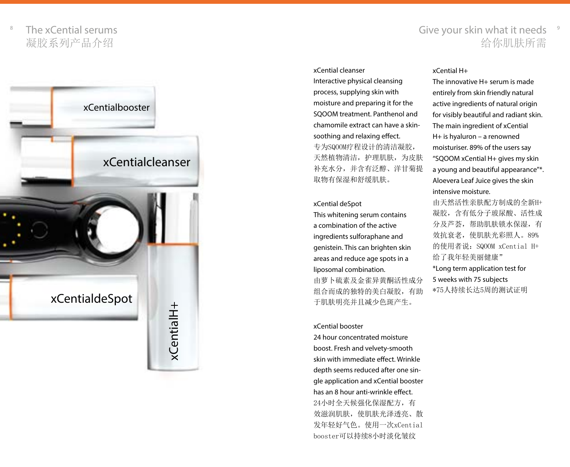The xCential serums 凝胶系列产品介绍

### $^{\circ}$  The xCential serums  $^{\circ}$  and  $^{\circ}$  and  $^{\circ}$  and  $^{\circ}$  and  $^{\circ}$  and  $^{\circ}$  Give your skin what it needs  $^{\circ}$ 给你肌肤所需



#### xCential cleanser

Interactive physical cleansing process, supplying skin with moisture and preparing it for the SQOOM treatment. Panthenol and chamomile extract can have a skinsoothing and relaxing effect. 专为SQOOM疗程设计的清洁凝胶, 天然植物清洁,护理肌肤,为皮肤 补充水分,并含有泛醇、洋甘菊提 取物有保湿和舒缓肌肤。

#### xCential deSpot

This whitening serum contains a combination of the active ingredients sulforaphane and genistein. This can brighten skin areas and reduce age spots in a liposomal combination. 由萝卜硫素及金雀异黄酮活性成分 组合而成的独特的美白凝胶,有助 于肌肤明亮并且减少色斑产生。

#### xCential booster

24 hour concentrated moisture boost. Fresh and velvety-smooth skin with immediate effect. Wrinkle depth seems reduced after one single application and xCential booster has an 8 hour anti-wrinkle effect. 24小时全天候强化保湿配方,有 效滋润肌肤, 使肌肤光泽诱亮、散 发年轻好气色。使用一次xCential booster可以持续8小时淡化皱纹

#### xCential H+

The innovative H+ serum is made entirely from skin friendly natural active ingredients of natural origin for visibly beautiful and radiant skin. The main ingredient of xCential H+ is hyaluron – a renowned moisturiser. 89% of the users say "SQOOM xCential H+ gives my skin a young and beautiful appearance"\*. Aloevera Leaf Juice gives the skin intensive moisture.

由天然活性亲肤配方制成的全新H+ 凝胶,含有低分子玻尿酸、活性成 分及芦荟,帮助肌肤锁水保湿,有 效抗衰老,使肌肤光彩照人。89% 的使用者说:SQOOM xCential H+ 给了我年轻美丽健康" \*Long term application test for 5 weeks with 75 subjects \*75人持续长达5周的测试证明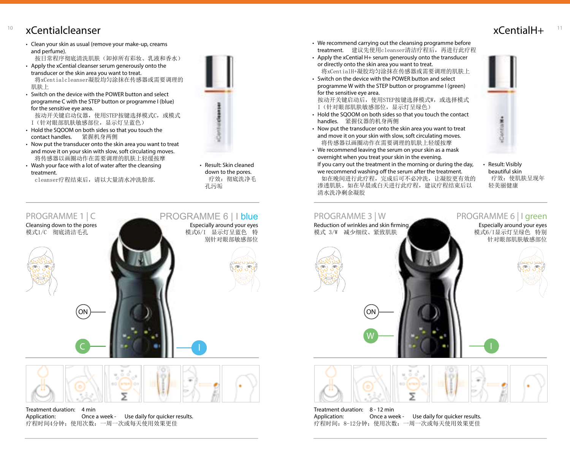# xCentialH+ <sup>10</sup> <sup>11</sup> xCentialcleanser

- Clean your skin as usual (remove your make-up, creams and perfume).
- 按日常程序彻底清洗肌肤(卸掉所有彩妆、乳液和香水) • Apply the xCential cleanser serum generously onto the
- transducer or the skin area you want to treat. 将xCentialcleanser凝胶均匀涂抹在传感器或需要调理的 肌肤上
- Switch on the device with the POWER button and select programme C with the STEP button or programme I (blue) for the sensitive eye area.
- 按动开关键启动仪器,使用STEP按键选择模式C,或模式 I(针对眼部肌肤敏感部位,显示灯呈蓝色)
- Hold the SQOOM on both sides so that you touch the contact handles. 紧握机身两侧
- Now put the transducer onto the skin area you want to treat and move it on your skin with slow, soft circulating moves. 将传感器以画圈动作在需要调理的肌肤上轻缓按摩
- Wash your face with a lot of water after the cleansing treatment.
	- cleanser疗程结束后,请以大量清水冲洗脸部.



• Result: Skin cleaned down to the pores. 疗效:彻底洗净毛 孔污垢

Especially around your eyes 模式6/I 显示灯呈蓝色 特

PROGRAMME 6 | I blue

I

#### PROGRAMME 1 | C

Cleansing down to the pores 模式1/C 彻底清洁毛孔









Treatment duration: 4 min Application: Once a week - Use daily for quicker results. 疗程时间4分钟;使用次数:一周一次或每天使用效果更佳

C

- We recommend carrying out the cleansing programme before treatment. 建议先使用cleanser清洁疗程后,再进行此疗程
- Apply the xCential H+ serum generously onto the transducer or directly onto the skin area you want to treat. 将xCentialH+凝胶均匀涂抹在传感器或需要调理的肌肤上
- Switch on the device with the POWER button and select programme W with the STEP button or programme I (green) for the sensitive eye area.

按动开关键启动后, 使用STEP按键选择模式W, 或选择模式 I(针对眼部肌肤敏感部位,显示灯呈绿色)

- Hold the SQOOM on both sides so that you touch the contact handles. 紧握仪器的机身两侧
- Now put the transducer onto the skin area you want to treat and move it on your skin with slow, soft circulating moves. 将传感器以画圈动作在需要调理的肌肤上轻缓按摩
- We recommend leaving the serum on your skin as a mask overnight when you treat your skin in the evening.

If you carry out the treatment in the morning or during the day, we recommend washing off the serum after the treatment.

 如在晚间进行此疗程,完成后可不必冲洗,让凝胶更有效的 渗透肌肤。如在早晨或白天进行此疗程,建议疗程结束后以 清水洗净剩余凝胶

• Result: Visibly beautiful skin 疗效: 使肌肤呈现年 轻美丽健康



Treatment duration: 8 - 12 min Application: Once a week - Use daily for quicker results. 疗程时间:8-12分钟;使用次数:一周一次或每天使用效果更佳

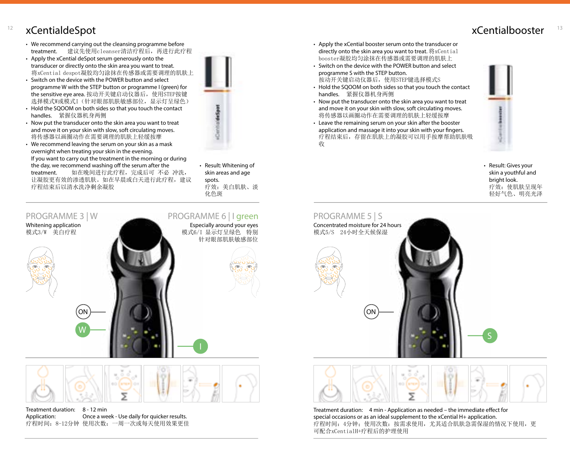# <sup>12</sup> xCentialdeSpot <sup>13</sup>

- We recommend carrying out the cleansing programme before treatment. 建议先使用cleanser清洁疗程后,再进行此疗程
- Apply the xCential deSpot serum generously onto the transducer or directly onto the skin area you want to treat. 将xCential despot凝胶均匀涂抹在传感器或需要调理的肌肤上
- Switch on the device with the POWER button and select programme W with the STEP button or programme I (green) for the sensitive eye area. 按动开关键启动仪器后,使用STEP按键 选择模式W或模式I(针对眼部肌肤敏感部位,显示灯呈绿色)
- Hold the SQOOM on both sides so that you touch the contact handles. 紧握仪器机身两侧
- Now put the transducer onto the skin area you want to treat and move it on your skin with slow, soft circulating moves. 将传感器以画圈动作在需要调理的肌肤上轻缓按摩
- We recommend leaving the serum on your skin as a mask overnight when treating your skin in the evening. If you want to carry out the treatment in the morning or during the day, we recommend washing off the serum after the<br>treatment. 如在晚间讲行此疗程,完成后可 不必 如在晚间进行此疗程, 完成后可 不必 冲洗, 让凝胶更有效的渗透肌肤。如在早晨或白天进行此疗程,建议 疗程结束后以清水洗净剩余凝胶



• Result: Whitening of skin areas and age spots. 疗效:美白肌肤、淡 化色斑





| Treatment duration: | 8 - 12 min                                   |
|---------------------|----------------------------------------------|
| Application:        | Once a week - Use daily for quicker results. |
|                     | 疗程时间: 8-12分钟 使用次数: 一周一次或每天使用效果更佳             |

- Apply the xCential booster serum onto the transducer or directly onto the skin area you want to treat. 将xCential booster凝胶均匀涂抹在传感器或需要调理的肌肤上
- Switch on the device with the POWER button and select programme S with the STEP button. 按动开关键启动仪器后,使用STEP键选择模式S
- Hold the SQOOM on both sides so that you touch the contact handles. 紧握仪器机身两侧
- Now put the transducer onto the skin area you want to treat and move it on your skin with slow, soft circulating moves. 将传感器以画圈动作在需要调理的肌肤上轻缓按摩
- Leave the remaining serum on your skin after the booster application and massage it into your skin with your fingers. 疗程结束后,存留在肌肤上的凝胶可以用手按摩帮助肌肤吸 收



• Result: Gives your skin a youthful and bright look. 疗效: 使肌肤呈现年 轻好气色、明亮光泽





Treatment duration: 4 min - Application as needed – the immediate effect for special occasions or as an ideal supplement to the xCential H+ application. 疗程时间:4分钟;使用次数:按需求使用,尤其适合肌肤急需保湿的情况下使用,更 可配合xCentialH+疗程后的护理使用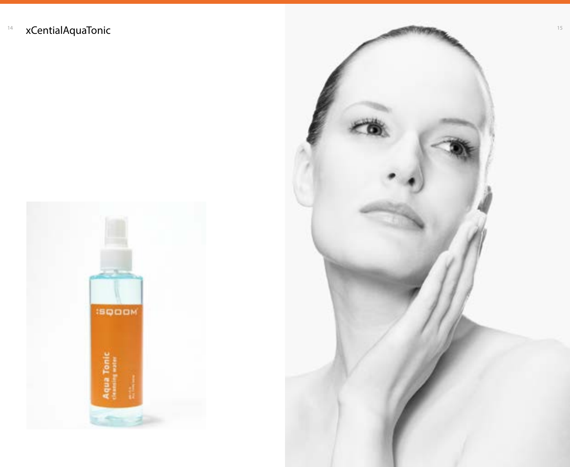

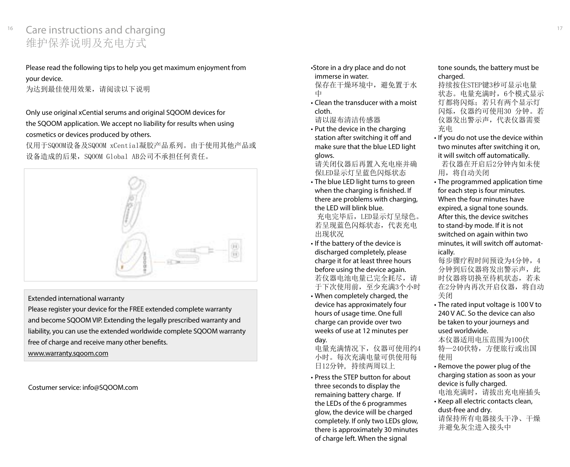# $^{16}$  Care instructions and charging  $^{17}$ 维护保养说明及充电方式

Please read the following tips to help you get maximum enjoyment from your device.

为达到最佳使用效果,请阅读以下说明

### Only use original xCential serums and original SQOOM devices for the SQOOM application. We accept no liability for results when using cosmetics or devices produced by others.

仅用于SQOOM设备及SQOOM xCential凝胶产品系列。由于使用其他产品或 设备造成的后果,SQOOM Global AB公司不承担任何责任。



#### Extended international warranty

Please register your device for the FREE extended complete warranty and become SQOOM VIP. Extending the legally prescribed warranty and liability, you can use the extended worldwide complete SQOOM warranty free of charge and receive many other benefits.

www.warranty.sqoom.com

Costumer service: info@SQOOM.com

- •Store in a dry place and do not immerse in water. 保存在干燥环境中,避免置于水 中
- Clean the transducer with a moist cloth.

请以湿布清洁传感器

• Put the device in the charging station after switching it off and make sure that the blue LED light glows.

请关闭仪器后再置入充电座并确 保LED显示灯呈蓝色闪烁状态

• The blue LED light turns to green when the charging is finished. If there are problems with charging, the LED will blink blue.

 充电完毕后,LED显示灯呈绿色。 若呈现蓝色闪烁状态,代表充电 出现状况

- If the battery of the device is discharged completely, please charge it for at least three hours before using the device again. 若仪器电池电量已完全耗尽,请 于下次使用前,至少充满3个小时
- When completely charged, the device has approximately four hours of usage time. One full charge can provide over two weeks of use at 12 minutes per day.

电量充满情况下,仪器可使用约4 小时。每次充满电量可供使用每 日12分钟, 持续两周以上

• Press the STEP button for about three seconds to display the remaining battery charge. If the LEDs of the 6 programmes glow, the device will be charged completely. If only two LEDs glow, there is approximately 30 minutes of charge left. When the signal

#### tone sounds, the battery must be charged.

持续按住STEP键3秒可显示电量 状态。电量充满时,6个模式显示 灯都将闪烁;若只有两个显示灯 闪烁,仪器约可使用30 分钟。若 仪器发出警示声,代表仪器需要 充电

- If you do not use the device within two minutes after switching it on, it will switch off automatically. 若仪器在开启后2分钟内如未使 用,将自动关闭
- The programmed application time for each step is four minutes. When the four minutes have expired, a signal tone sounds. After this, the device switches to stand-by mode. If it is not switched on again within two minutes, it will switch off automatically.

每步骤疗程时间预设为4分钟,4 分钟到后仪器将发出警示声,此 时仪器将切换至待机状态,若未 在2分钟内再次开启仪器,将自动 关闭

• The rated input voltage is 100 V to 240 V AC. So the device can also be taken to your journeys and used worldwide.

本仪器适用电压范围为100伏 特—240伏特,方便旅行或出国 使用

- Remove the power plug of the charging station as soon as your device is fully charged. 电池充满时,请拔出充电座插头
- Keep all electric contacts clean, dust-free and dry.

请保持所有电器接头干净、干燥 并避免灰尘进入接头中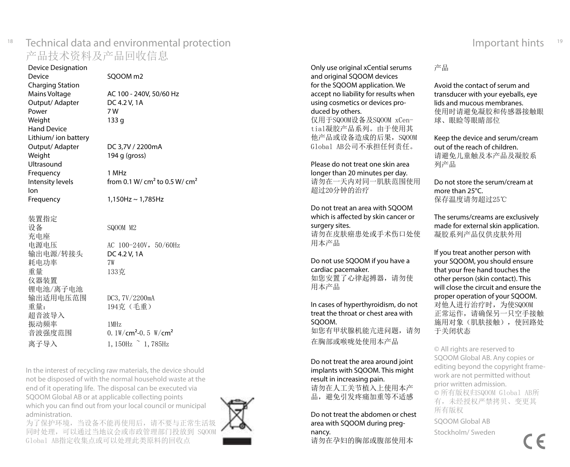### Technical data and environmental protection Important hints <sup>18</sup> <sup>19</sup>产品技术资料及产品回收信息

Device Designation<br>Device SOOOM m<sub>2</sub> Charging Station Mains Voltage  $AC 100 - 240V$ , 50/60 Hz<br>Output/ Adapter DC 4.2 V, 1A Output/ Adapter DC 4 Power Weight 133 g Hand Device Lithium/ ion battery Output/ Adapter DC 3,7V / 2200mA<br>Weight 194 g (gross)  $194$  g (gross) Ultrasound Frequency 1 MHz Intensity levels  $\frac{1}{2}$  from 0.1 W/ cm<sup>2</sup> to 0.5 W/ cm<sup>2</sup> Ion Frequency  $1,150Hz \sim 1,785Hz$ 装置指定 设备 SQOOM M2 充电座 电源电压 AC 100-240V, 50/60Hz 输出电源/转接头 DC 4.2 V, 1A<br>耗由功率 7W 耗电功率 重量 133克 仪器装置 锂电池/离子电池 输出适用电压范围 DC3,7V/2200mA 重量: 194克(毛重) 超音波导入 振动频率 1MHz 音波强度范围 0.1W/cm<sup>2</sup>-0.5 W/cm<sup>2</sup> 离子导入  $1,150$ Hz  $\degree$   $1,785$ Hz

In the interest of recycling raw materials, the device should not be disposed of with the normal household waste at the end of it operating life. The disposal can be executed via SQOOM Global AB or at applicable collecting points which you can find out from your local council or municipal administration.

为了保护环境,当设备不能再使用后,请不要与正常生活圾 同时处理,可以通过当地议会或市政管理部门投放到 SQOOM Global AB指定收集点或可以处理此类原料的回收点



Only use original xCential serums and original SQOOM devices for the SQOOM application. We accept no liability for results when using cosmetics or devices pro duced by others. 仅用于SQOOM设备及SQOOM xCen -

tial凝胶产品系列。由于使用其 他产品或设备造成的后果,SQOOM Global AB公司不承担任何责任。

Please do not treat one skin area longer than 20 minutes per day. 请勿在一天内对同一肌肤范围使用 超过20分钟的治疗

Do not treat an area with SQOOM which is affected by skin cancer or surgery sites. 请勿在皮肤癌患处或手术伤口处使 用本产品

Do not use SQOOM if you have a cardiac pacemaker. 如您安置了心律起搏器,请勿使

用本产品

In cases of hyperthyroidism, do not treat the throat or chest area with SQOOM. 如您有甲状腺机能亢进问题,请勿 在胸部或喉咙处使用本产品

Do not treat the area around joint implants with SQOOM. This might result in increasing pain. 请勿在人工关节植入上使用本产 品,避免引发疼痛加重等不适感

Do not treat the abdomen or chest area with SQOOM during preg nancy.

请勿在孕妇的胸部或腹部使用本

产品

Avoid the contact of serum and transducer with your eyeballs, eye lids and mucous membranes. 使用时请避免凝胶和传感器接触眼 球、眼睑等眼睛部位

Keep the device and serum/cream out of the reach of children. 请避免儿童触及本产品及凝胶系 列产品

Do not store the serum/cream at more than 25°C. 保存温度请勿超过25℃

The serums/creams are exclusively made for external skin application. 凝胶系列产品仅供皮肤外用

If you treat another person with your SQOOM, you should ensure that your free hand touches the other person (skin contact). This will close the circuit and ensure the proper operation of your SQOOM. 对他人进行治疗时,为使SQOOM 正常运作,请确保另一只空手接触 施用对象(肌肤接触),使回路处 于关闭状态

© All rights are reserved to SQOOM Global AB. Any copies or editing beyond the copyright frame work are not permitted without prior written admission. © 所有版权归SQOOM Global AB所 有,未经授权严禁拷贝、变更其 所有版权

SQOOM Global AB

Stockholm/ Sweden